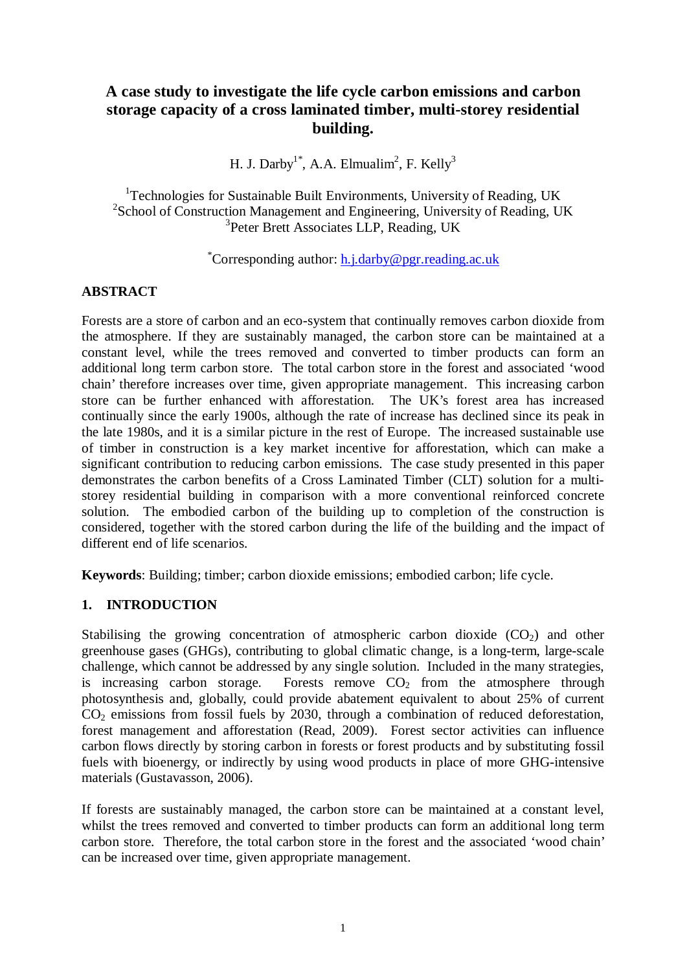# **A case study to investigate the life cycle carbon emissions and carbon storage capacity of a cross laminated timber, multi-storey residential building.**

H. J. Darby<sup>1\*</sup>, A.A. Elmualim<sup>2</sup>, F. Kelly<sup>3</sup>

<sup>1</sup>Technologies for Sustainable Built Environments, University of Reading, UK <sup>2</sup>School of Construction Management and Engineering, University of Reading, UK <sup>3</sup>Peter Brett Associates LLP, Reading, UK

### \*Corresponding author: [h.j.darby@pgr.reading.ac.uk](mailto:h.j.darby@pgr.reading.ac.uk)

#### **ABSTRACT**

Forests are a store of carbon and an eco-system that continually removes carbon dioxide from the atmosphere. If they are sustainably managed, the carbon store can be maintained at a constant level, while the trees removed and converted to timber products can form an additional long term carbon store. The total carbon store in the forest and associated 'wood chain' therefore increases over time, given appropriate management. This increasing carbon store can be further enhanced with afforestation. The UK's forest area has increased continually since the early 1900s, although the rate of increase has declined since its peak in the late 1980s, and it is a similar picture in the rest of Europe. The increased sustainable use of timber in construction is a key market incentive for afforestation, which can make a significant contribution to reducing carbon emissions. The case study presented in this paper demonstrates the carbon benefits of a Cross Laminated Timber (CLT) solution for a multistorey residential building in comparison with a more conventional reinforced concrete solution. The embodied carbon of the building up to completion of the construction is considered, together with the stored carbon during the life of the building and the impact of different end of life scenarios.

**Keywords**: Building; timber; carbon dioxide emissions; embodied carbon; life cycle.

#### **1. INTRODUCTION**

Stabilising the growing concentration of atmospheric carbon dioxide  $(CO<sub>2</sub>)$  and other greenhouse gases (GHGs), contributing to global climatic change, is a long-term, large-scale challenge, which cannot be addressed by any single solution. Included in the many strategies, is increasing carbon storage. Forests remove  $CO<sub>2</sub>$  from the atmosphere through photosynthesis and, globally, could provide abatement equivalent to about 25% of current  $CO<sub>2</sub>$  emissions from fossil fuels by 2030, through a combination of reduced deforestation. forest management and afforestation (Read, 2009). Forest sector activities can influence carbon flows directly by storing carbon in forests or forest products and by substituting fossil fuels with bioenergy, or indirectly by using wood products in place of more GHG-intensive materials (Gustavasson, 2006).

If forests are sustainably managed, the carbon store can be maintained at a constant level, whilst the trees removed and converted to timber products can form an additional long term carbon store. Therefore, the total carbon store in the forest and the associated 'wood chain' can be increased over time, given appropriate management.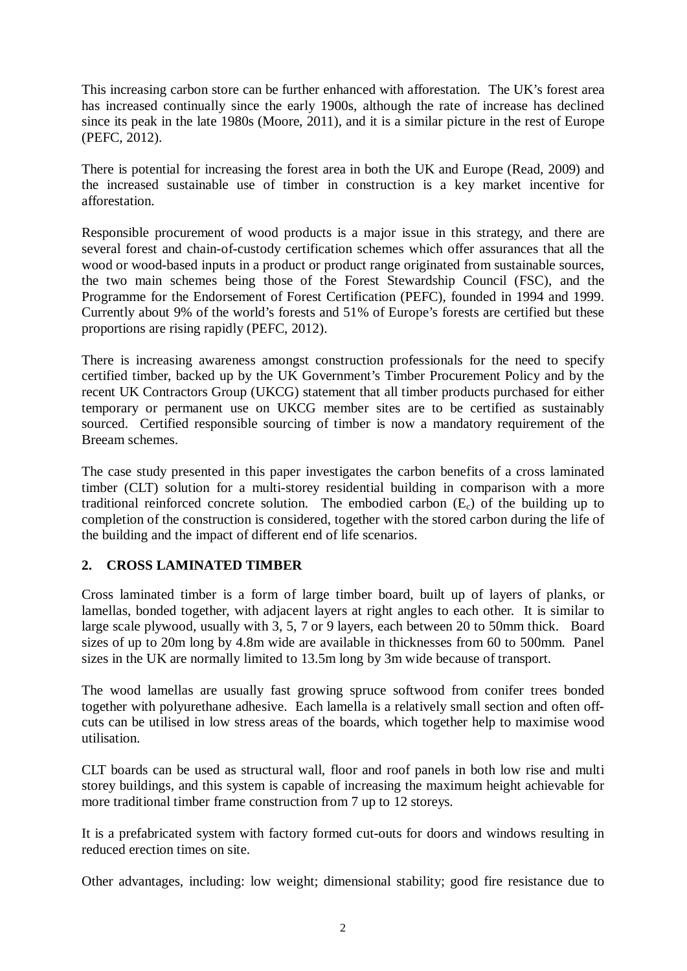This increasing carbon store can be further enhanced with afforestation. The UK's forest area has increased continually since the early 1900s, although the rate of increase has declined since its peak in the late 1980s (Moore, 2011), and it is a similar picture in the rest of Europe (PEFC, 2012).

There is potential for increasing the forest area in both the UK and Europe (Read, 2009) and the increased sustainable use of timber in construction is a key market incentive for afforestation.

Responsible procurement of wood products is a major issue in this strategy, and there are several forest and chain-of-custody certification schemes which offer assurances that all the wood or wood-based inputs in a product or product range originated from sustainable sources, the two main schemes being those of the Forest Stewardship Council (FSC), and the Programme for the Endorsement of Forest Certification (PEFC), founded in 1994 and 1999. Currently about 9% of the world's forests and 51% of Europe's forests are certified but these proportions are rising rapidly (PEFC, 2012).

There is increasing awareness amongst construction professionals for the need to specify certified timber, backed up by the UK Government's Timber Procurement Policy and by the recent UK Contractors Group (UKCG) statement that all timber products purchased for either temporary or permanent use on UKCG member sites are to be certified as sustainably sourced. Certified responsible sourcing of timber is now a mandatory requirement of the Breeam schemes.

The case study presented in this paper investigates the carbon benefits of a cross laminated timber (CLT) solution for a multi-storey residential building in comparison with a more traditional reinforced concrete solution. The embodied carbon  $(E<sub>c</sub>)$  of the building up to completion of the construction is considered, together with the stored carbon during the life of the building and the impact of different end of life scenarios.

## **2. CROSS LAMINATED TIMBER**

Cross laminated timber is a form of large timber board, built up of layers of planks, or lamellas, bonded together, with adjacent layers at right angles to each other. It is similar to large scale plywood, usually with 3, 5, 7 or 9 layers, each between 20 to 50mm thick. Board sizes of up to 20m long by 4.8m wide are available in thicknesses from 60 to 500mm. Panel sizes in the UK are normally limited to 13.5m long by 3m wide because of transport.

The wood lamellas are usually fast growing spruce softwood from conifer trees bonded together with polyurethane adhesive. Each lamella is a relatively small section and often offcuts can be utilised in low stress areas of the boards, which together help to maximise wood utilisation.

CLT boards can be used as structural wall, floor and roof panels in both low rise and multi storey buildings, and this system is capable of increasing the maximum height achievable for more traditional timber frame construction from 7 up to 12 storeys.

It is a prefabricated system with factory formed cut-outs for doors and windows resulting in reduced erection times on site.

Other advantages, including: low weight; dimensional stability; good fire resistance due to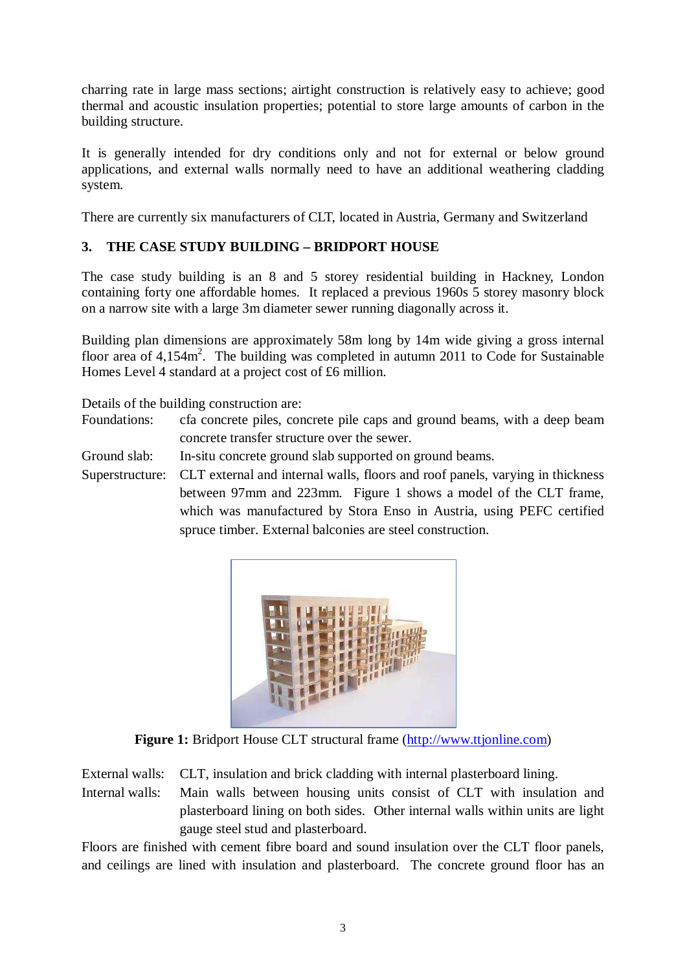charring rate in large mass sections; airtight construction is relatively easy to achieve; good thermal and acoustic insulation properties; potential to store large amounts of carbon in the building structure.

It is generally intended for dry conditions only and not for external or below ground applications, and external walls normally need to have an additional weathering cladding system.

There are currently six manufacturers of CLT, located in Austria, Germany and Switzerland

### **3. THE CASE STUDY BUILDING – BRIDPORT HOUSE**

The case study building is an 8 and 5 storey residential building in Hackney, London containing forty one affordable homes. It replaced a previous 1960s 5 storey masonry block on a narrow site with a large 3m diameter sewer running diagonally across it.

Building plan dimensions are approximately 58m long by 14m wide giving a gross internal floor area of  $4,154m^2$ . The building was completed in autumn 2011 to Code for Sustainable Homes Level 4 standard at a project cost of £6 million.

Details of the building construction are:

- Foundations: cfa concrete piles, concrete pile caps and ground beams, with a deep beam concrete transfer structure over the sewer.
- Ground slab: In-situ concrete ground slab supported on ground beams.

Superstructure: CLT external and internal walls, floors and roof panels, varying in thickness between 97mm and 223mm. Figure 1 shows a model of the CLT frame, which was manufactured by Stora Enso in Austria, using PEFC certified spruce timber. External balconies are steel construction.



**Figure 1:** Bridport House CLT structural frame [\(http://www.ttjonline.com\)](http://www.ttjonline.com/)

External walls: CLT, insulation and brick cladding with internal plasterboard lining.

Internal walls: Main walls between housing units consist of CLT with insulation and plasterboard lining on both sides. Other internal walls within units are light gauge steel stud and plasterboard.

Floors are finished with cement fibre board and sound insulation over the CLT floor panels, and ceilings are lined with insulation and plasterboard. The concrete ground floor has an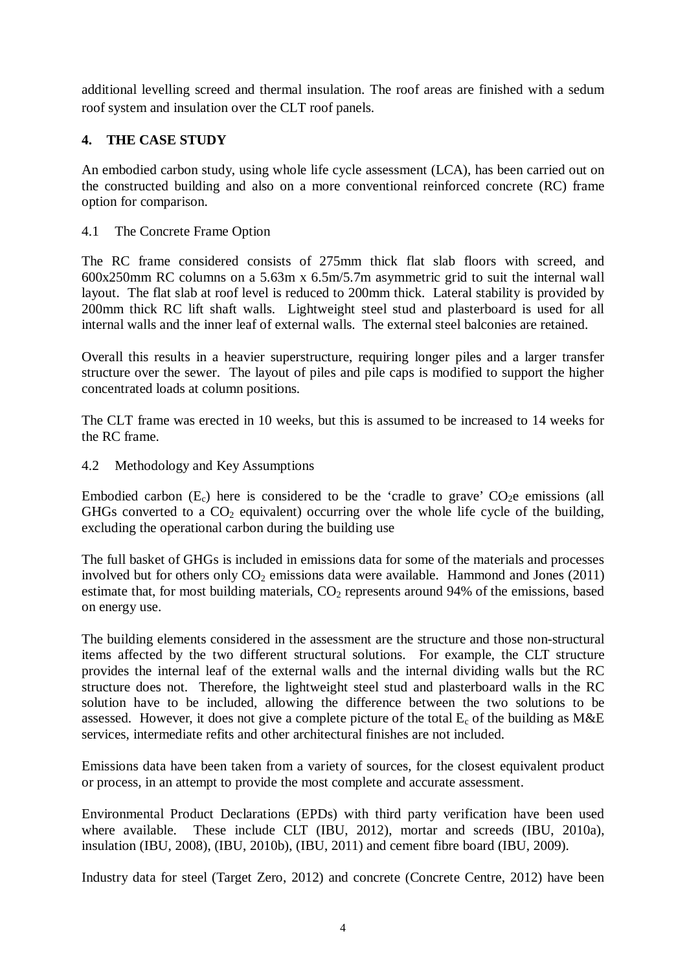additional levelling screed and thermal insulation. The roof areas are finished with a sedum roof system and insulation over the CLT roof panels.

### **4. THE CASE STUDY**

An embodied carbon study, using whole life cycle assessment (LCA), has been carried out on the constructed building and also on a more conventional reinforced concrete (RC) frame option for comparison.

#### 4.1 The Concrete Frame Option

The RC frame considered consists of 275mm thick flat slab floors with screed, and 600x250mm RC columns on a 5.63m x 6.5m/5.7m asymmetric grid to suit the internal wall layout. The flat slab at roof level is reduced to 200mm thick. Lateral stability is provided by 200mm thick RC lift shaft walls. Lightweight steel stud and plasterboard is used for all internal walls and the inner leaf of external walls. The external steel balconies are retained.

Overall this results in a heavier superstructure, requiring longer piles and a larger transfer structure over the sewer. The layout of piles and pile caps is modified to support the higher concentrated loads at column positions.

The CLT frame was erected in 10 weeks, but this is assumed to be increased to 14 weeks for the RC frame.

#### 4.2 Methodology and Key Assumptions

Embodied carbon  $(E_c)$  here is considered to be the 'cradle to grave'  $CO<sub>2</sub>e$  emissions (all GHGs converted to a  $CO<sub>2</sub>$  equivalent) occurring over the whole life cycle of the building, excluding the operational carbon during the building use

The full basket of GHGs is included in emissions data for some of the materials and processes involved but for others only  $CO<sub>2</sub>$  emissions data were available. Hammond and Jones (2011) estimate that, for most building materials,  $CO<sub>2</sub>$  represents around 94% of the emissions, based on energy use.

The building elements considered in the assessment are the structure and those non-structural items affected by the two different structural solutions. For example, the CLT structure provides the internal leaf of the external walls and the internal dividing walls but the RC structure does not. Therefore, the lightweight steel stud and plasterboard walls in the RC solution have to be included, allowing the difference between the two solutions to be assessed. However, it does not give a complete picture of the total  $E_c$  of the building as M&E services, intermediate refits and other architectural finishes are not included.

Emissions data have been taken from a variety of sources, for the closest equivalent product or process, in an attempt to provide the most complete and accurate assessment.

Environmental Product Declarations (EPDs) with third party verification have been used where available. These include CLT (IBU, 2012), mortar and screeds (IBU, 2010a), insulation (IBU, 2008), (IBU, 2010b), (IBU, 2011) and cement fibre board (IBU, 2009).

Industry data for steel (Target Zero, 2012) and concrete (Concrete Centre, 2012) have been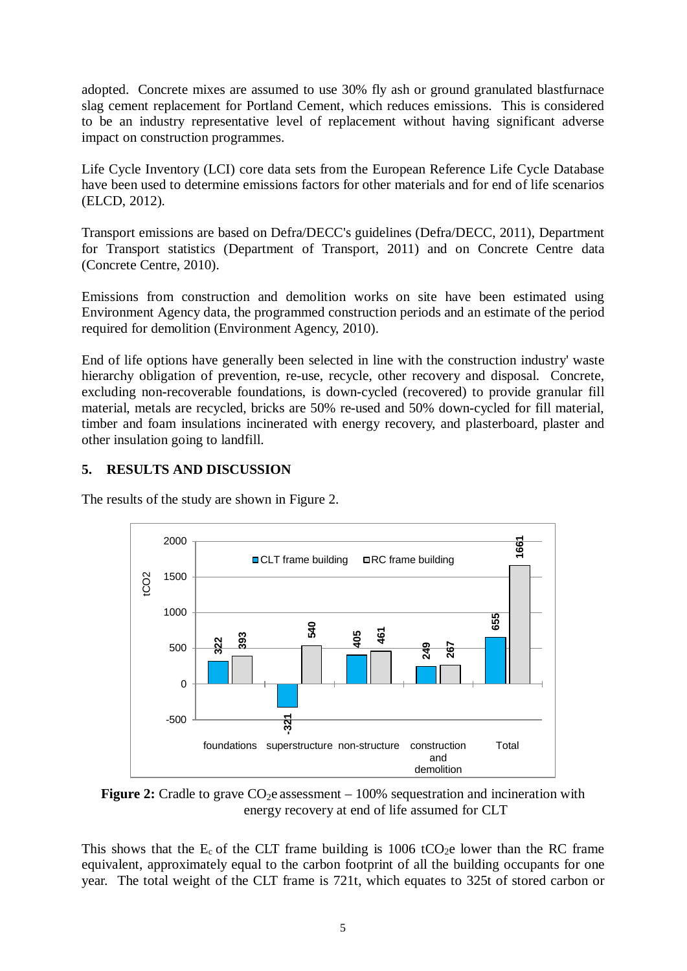adopted. Concrete mixes are assumed to use 30% fly ash or ground granulated blastfurnace slag cement replacement for Portland Cement, which reduces emissions. This is considered to be an industry representative level of replacement without having significant adverse impact on construction programmes.

Life Cycle Inventory (LCI) core data sets from the European Reference Life Cycle Database have been used to determine emissions factors for other materials and for end of life scenarios (ELCD, 2012).

Transport emissions are based on Defra/DECC's guidelines (Defra/DECC, 2011), Department for Transport statistics (Department of Transport, 2011) and on Concrete Centre data (Concrete Centre, 2010).

Emissions from construction and demolition works on site have been estimated using Environment Agency data, the programmed construction periods and an estimate of the period required for demolition (Environment Agency, 2010).

End of life options have generally been selected in line with the construction industry' waste hierarchy obligation of prevention, re-use, recycle, other recovery and disposal. Concrete, excluding non-recoverable foundations, is down-cycled (recovered) to provide granular fill material, metals are recycled, bricks are 50% re-used and 50% down-cycled for fill material, timber and foam insulations incinerated with energy recovery, and plasterboard, plaster and other insulation going to landfill.

#### **5. RESULTS AND DISCUSSION**





**Figure 2:** Cradle to grave  $CO<sub>2</sub>e$  assessment  $-100%$  sequestration and incineration with energy recovery at end of life assumed for CLT

This shows that the  $E_c$  of the CLT frame building is 1006 tCO<sub>2</sub>e lower than the RC frame equivalent, approximately equal to the carbon footprint of all the building occupants for one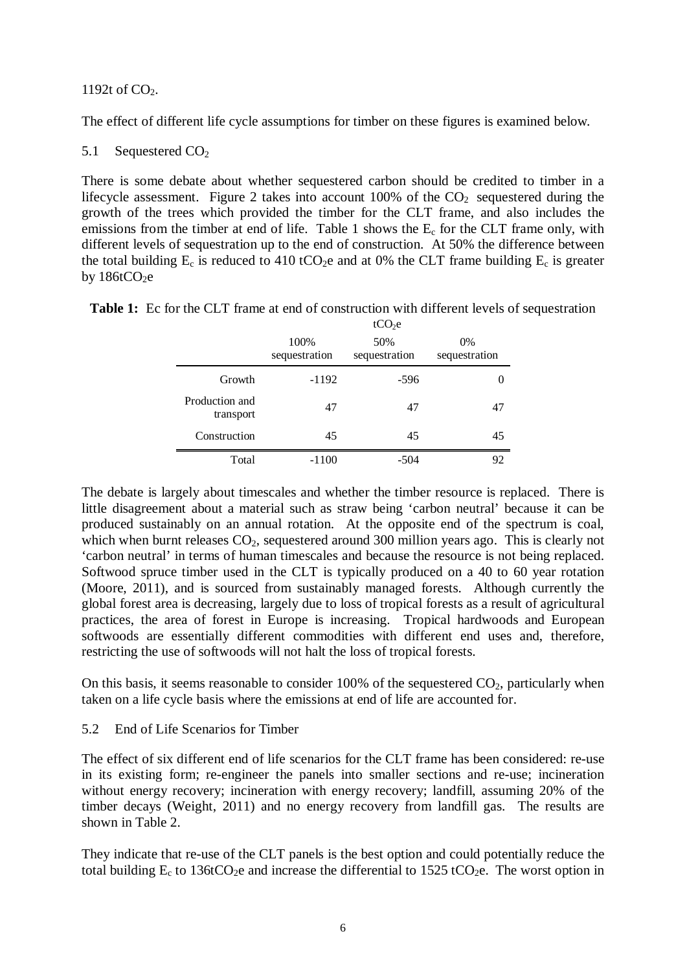1192t of  $CO<sub>2</sub>$ .

The effect of different life cycle assumptions for timber on these figures is examined below.

5.1 Sequestered CO<sub>2</sub>

There is some debate about whether sequestered carbon should be credited to timber in a lifecycle assessment. Figure 2 takes into account  $100\%$  of the  $CO<sub>2</sub>$  sequestered during the growth of the trees which provided the timber for the CLT frame, and also includes the emissions from the timber at end of life. Table 1 shows the  $E_c$  for the CLT frame only, with different levels of sequestration up to the end of construction. At 50% the difference between the total building  $E_c$  is reduced to 410 tCO<sub>2</sub>e and at 0% the CLT frame building  $E_c$  is greater by  $186tCO<sub>2</sub>e$ 

| <b>Table 1:</b> Ec for the CLT frame at end of construction with different levels of sequestration |  |
|----------------------------------------------------------------------------------------------------|--|
|----------------------------------------------------------------------------------------------------|--|

|                             | tCO <sub>2</sub> e    |                      |                        |  |  |  |
|-----------------------------|-----------------------|----------------------|------------------------|--|--|--|
|                             | 100%<br>sequestration | 50%<br>sequestration | $0\%$<br>sequestration |  |  |  |
| Growth                      | $-1192$               | $-596$               |                        |  |  |  |
| Production and<br>transport | 47                    | 47                   | 47                     |  |  |  |
| Construction                | 45                    | 45                   | 45                     |  |  |  |
| Total                       | $-1100$               | $-504$               | 92                     |  |  |  |

The debate is largely about timescales and whether the timber resource is replaced. There is little disagreement about a material such as straw being 'carbon neutral' because it can be produced sustainably on an annual rotation. At the opposite end of the spectrum is coal, which when burnt releases  $CO<sub>2</sub>$ , sequestered around 300 million years ago. This is clearly not 'carbon neutral' in terms of human timescales and because the resource is not being replaced. Softwood spruce timber used in the CLT is typically produced on a 40 to 60 year rotation (Moore, 2011), and is sourced from sustainably managed forests. Although currently the global forest area is decreasing, largely due to loss of tropical forests as a result of agricultural practices, the area of forest in Europe is increasing. Tropical hardwoods and European softwoods are essentially different commodities with different end uses and, therefore, restricting the use of softwoods will not halt the loss of tropical forests.

On this basis, it seems reasonable to consider  $100\%$  of the sequestered  $CO<sub>2</sub>$ , particularly when taken on a life cycle basis where the emissions at end of life are accounted for.

#### 5.2 End of Life Scenarios for Timber

The effect of six different end of life scenarios for the CLT frame has been considered: re-use in its existing form; re-engineer the panels into smaller sections and re-use; incineration without energy recovery; incineration with energy recovery; landfill, assuming 20% of the timber decays (Weight, 2011) and no energy recovery from landfill gas. The results are shown in Table 2.

They indicate that re-use of the CLT panels is the best option and could potentially reduce the total building  $E_c$  to 136tCO<sub>2</sub>e and increase the differential to 1525 tCO<sub>2</sub>e. The worst option in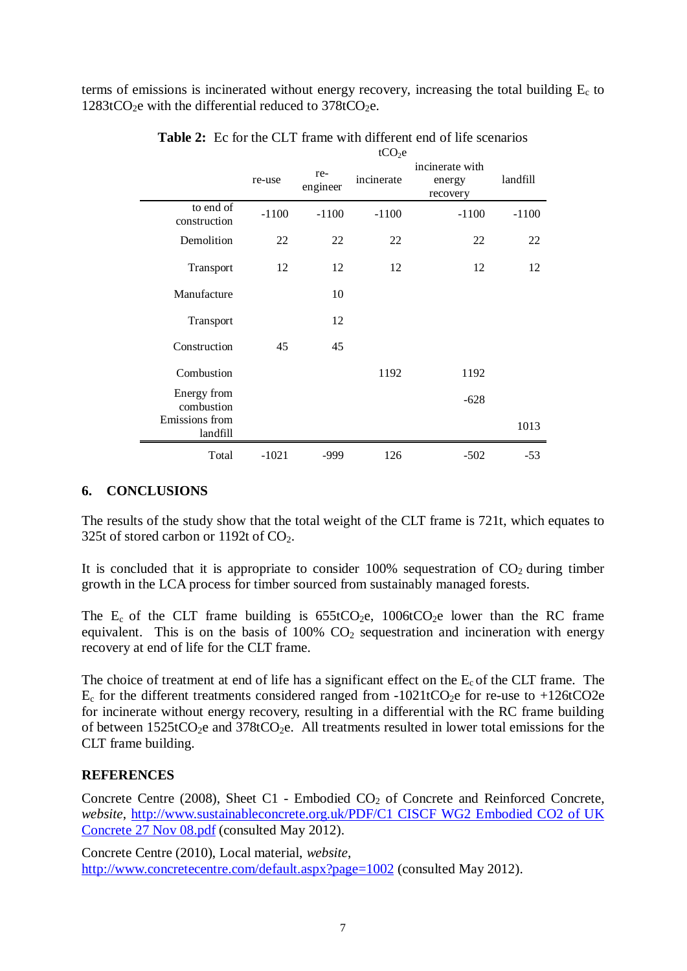terms of emissions is incinerated without energy recovery, increasing the total building  $E_c$  to  $1283tCO<sub>2</sub>e$  with the differential reduced to  $378tCO<sub>2</sub>e$ .

|                            | tCO <sub>2</sub> e |                 |            |                                       |          |
|----------------------------|--------------------|-----------------|------------|---------------------------------------|----------|
|                            | re-use             | re-<br>engineer | incinerate | incinerate with<br>energy<br>recovery | landfill |
| to end of<br>construction  | $-1100$            | $-1100$         | $-1100$    | $-1100$                               | $-1100$  |
| Demolition                 | 22                 | 22              | 22         | 22                                    | 22       |
| Transport                  | 12                 | 12              | 12         | 12                                    | 12       |
| Manufacture                |                    | 10              |            |                                       |          |
| Transport                  |                    | 12              |            |                                       |          |
| Construction               | 45                 | 45              |            |                                       |          |
| Combustion                 |                    |                 | 1192       | 1192                                  |          |
| Energy from<br>combustion  |                    |                 |            | $-628$                                |          |
| Emissions from<br>landfill |                    |                 |            |                                       | 1013     |
| Total                      | $-1021$            | -999            | 126        | $-502$                                | $-53$    |

Table 2: Ec for the CLT frame with different end of life scenarios

#### **6. CONCLUSIONS**

The results of the study show that the total weight of the CLT frame is 721t, which equates to 325t of stored carbon or 1192t of  $CO<sub>2</sub>$ .

It is concluded that it is appropriate to consider  $100\%$  sequestration of  $CO<sub>2</sub>$  during timber growth in the LCA process for timber sourced from sustainably managed forests.

The  $E_c$  of the CLT frame building is  $655tCO_2e$ ,  $1006tCO_2e$  lower than the RC frame equivalent. This is on the basis of  $100\%$  CO<sub>2</sub> sequestration and incineration with energy recovery at end of life for the CLT frame.

The choice of treatment at end of life has a significant effect on the  $E_c$  of the CLT frame. The  $E_c$  for the different treatments considered ranged from -1021tCO<sub>2</sub>e for re-use to +126tCO2e for incinerate without energy recovery, resulting in a differential with the RC frame building of between  $1525tCO<sub>2</sub>e$  and  $378tCO<sub>2</sub>e$ . All treatments resulted in lower total emissions for the CLT frame building.

#### **REFERENCES**

Concrete Centre (2008), Sheet C1 - Embodied  $CO<sub>2</sub>$  of Concrete and Reinforced Concrete, *website*, [http://www.sustainableconcrete.org.uk/PDF/C1 CISCF WG2 Embodied CO2 of UK](http://www.sustainableconcrete.org.uk/PDF/C1%20CISCF%20WG2%20Embodied%20CO2%20of%20UK%20Concrete%2027%20Nov%2008.pdf)  [Concrete 27 Nov 08.pdf](http://www.sustainableconcrete.org.uk/PDF/C1%20CISCF%20WG2%20Embodied%20CO2%20of%20UK%20Concrete%2027%20Nov%2008.pdf) (consulted May 2012).

Concrete Centre (2010), Local material, *website*, <http://www.concretecentre.com/default.aspx?page=1002> (consulted May 2012).